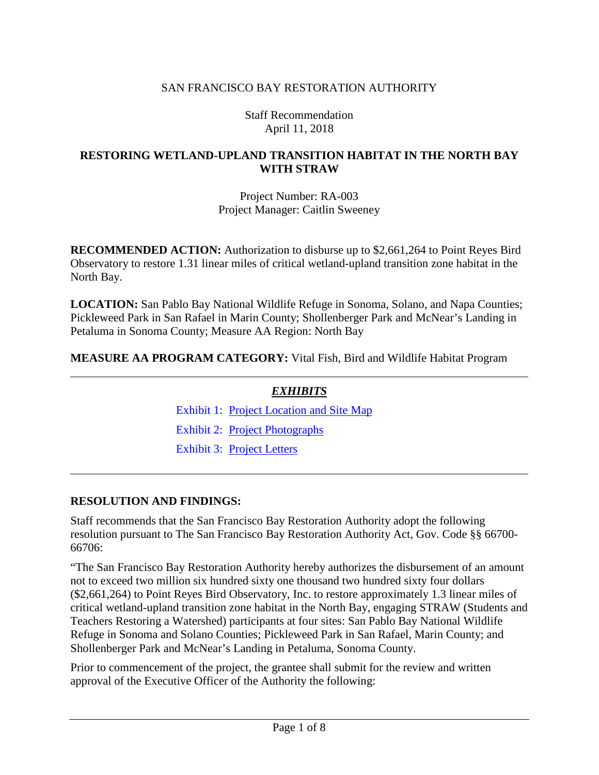### SAN FRANCISCO BAY RESTORATION AUTHORITY

Staff Recommendation April 11, 2018

#### **RESTORING WETLAND-UPLAND TRANSITION HABITAT IN THE NORTH BAY WITH STRAW**

Project Number: RA-003 Project Manager: Caitlin Sweeney

**RECOMMENDED ACTION:** Authorization to disburse up to \$2,661,264 to Point Reyes Bird Observatory to restore 1.31 linear miles of critical wetland-upland transition zone habitat in the North Bay.

**LOCATION:** San Pablo Bay National Wildlife Refuge in Sonoma, Solano, and Napa Counties; Pickleweed Park in San Rafael in Marin County; Shollenberger Park and McNear's Landing in Petaluma in Sonoma County; Measure AA Region: North Bay

**MEASURE AA PROGRAM CATEGORY:** Vital Fish, Bird and Wildlife Habitat Program

| <b>EXHIBITS</b>                          |  |
|------------------------------------------|--|
| Exhibit 1: Project Location and Site Map |  |
| Exhibit 2: Project Photographs           |  |
| <b>Exhibit 3: Project Letters</b>        |  |

#### **RESOLUTION AND FINDINGS:**

Staff recommends that the San Francisco Bay Restoration Authority adopt the following resolution pursuant to The San Francisco Bay Restoration Authority Act, Gov. Code §§ 66700- 66706:

"The San Francisco Bay Restoration Authority hereby authorizes the disbursement of an amount not to exceed two million six hundred sixty one thousand two hundred sixty four dollars (\$2,661,264) to Point Reyes Bird Observatory, Inc. to restore approximately 1.3 linear miles of critical wetland-upland transition zone habitat in the North Bay, engaging STRAW (Students and Teachers Restoring a Watershed) participants at four sites: San Pablo Bay National Wildlife Refuge in Sonoma and Solano Counties; Pickleweed Park in San Rafael, Marin County; and Shollenberger Park and McNear's Landing in Petaluma, Sonoma County.

Prior to commencement of the project, the grantee shall submit for the review and written approval of the Executive Officer of the Authority the following: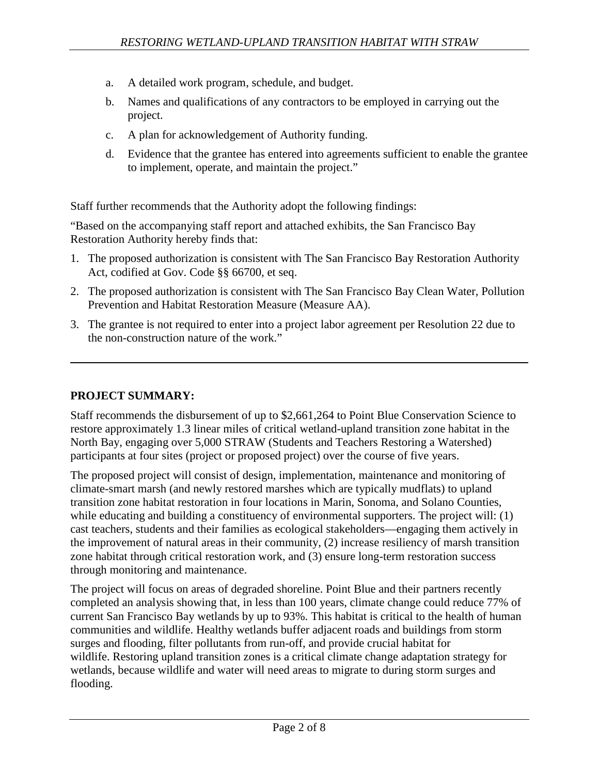- a. A detailed work program, schedule, and budget.
- b. Names and qualifications of any contractors to be employed in carrying out the project.
- c. A plan for acknowledgement of Authority funding.
- d. Evidence that the grantee has entered into agreements sufficient to enable the grantee to implement, operate, and maintain the project."

Staff further recommends that the Authority adopt the following findings:

"Based on the accompanying staff report and attached exhibits, the San Francisco Bay Restoration Authority hereby finds that:

- 1. The proposed authorization is consistent with The San Francisco Bay Restoration Authority Act, codified at Gov. Code §§ 66700, et seq.
- 2. The proposed authorization is consistent with The San Francisco Bay Clean Water, Pollution Prevention and Habitat Restoration Measure (Measure AA).
- 3. The grantee is not required to enter into a project labor agreement per Resolution 22 due to the non-construction nature of the work."

## **PROJECT SUMMARY:**

Staff recommends the disbursement of up to \$2,661,264 to Point Blue Conservation Science to restore approximately 1.3 linear miles of critical wetland-upland transition zone habitat in the North Bay, engaging over 5,000 STRAW (Students and Teachers Restoring a Watershed) participants at four sites (project or proposed project) over the course of five years.

The proposed project will consist of design, implementation, maintenance and monitoring of climate-smart marsh (and newly restored marshes which are typically mudflats) to upland transition zone habitat restoration in four locations in Marin, Sonoma, and Solano Counties, while educating and building a constituency of environmental supporters. The project will: (1) cast teachers, students and their families as ecological stakeholders—engaging them actively in the improvement of natural areas in their community, (2) increase resiliency of marsh transition zone habitat through critical restoration work, and (3) ensure long-term restoration success through monitoring and maintenance.

The project will focus on areas of degraded shoreline. Point Blue and their partners recently completed an analysis showing that, in less than 100 years, climate change could reduce 77% of current San Francisco Bay wetlands by up to 93%. This habitat is critical to the health of human communities and wildlife. Healthy wetlands buffer adjacent roads and buildings from storm surges and flooding, filter pollutants from run-off, and provide crucial habitat for wildlife. Restoring upland transition zones is a critical climate change adaptation strategy for wetlands, because wildlife and water will need areas to migrate to during storm surges and flooding.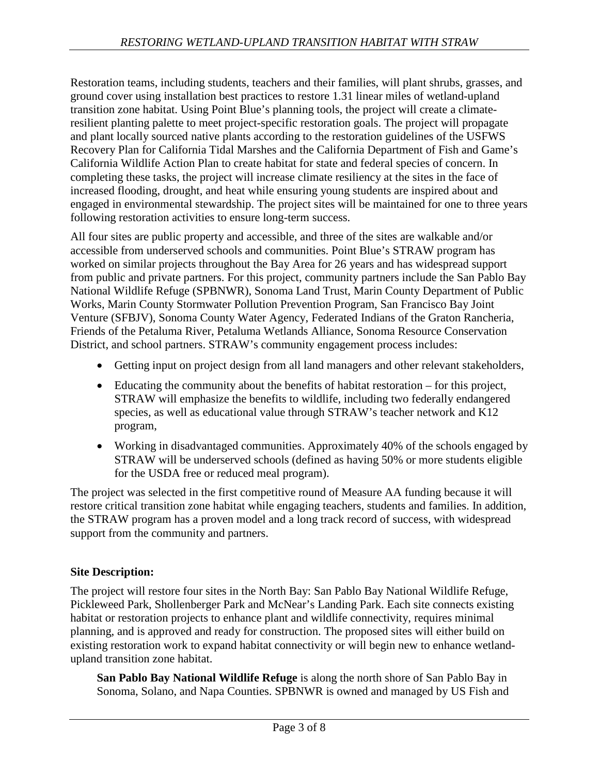Restoration teams, including students, teachers and their families, will plant shrubs, grasses, and ground cover using installation best practices to restore 1.31 linear miles of wetland-upland transition zone habitat. Using Point Blue's planning tools, the project will create a climateresilient planting palette to meet project-specific restoration goals. The project will propagate and plant locally sourced native plants according to the restoration guidelines of the USFWS Recovery Plan for California Tidal Marshes and the California Department of Fish and Game's California Wildlife Action Plan to create habitat for state and federal species of concern. In completing these tasks, the project will increase climate resiliency at the sites in the face of increased flooding, drought, and heat while ensuring young students are inspired about and engaged in environmental stewardship. The project sites will be maintained for one to three years following restoration activities to ensure long-term success.

All four sites are public property and accessible, and three of the sites are walkable and/or accessible from underserved schools and communities. Point Blue's STRAW program has worked on similar projects throughout the Bay Area for 26 years and has widespread support from public and private partners. For this project, community partners include the San Pablo Bay National Wildlife Refuge (SPBNWR), Sonoma Land Trust, Marin County Department of Public Works, Marin County Stormwater Pollution Prevention Program, San Francisco Bay Joint Venture (SFBJV), Sonoma County Water Agency, Federated Indians of the Graton Rancheria, Friends of the Petaluma River, Petaluma Wetlands Alliance, Sonoma Resource Conservation District, and school partners. STRAW's community engagement process includes:

- Getting input on project design from all land managers and other relevant stakeholders,
- Educating the community about the benefits of habitat restoration for this project, STRAW will emphasize the benefits to wildlife, including two federally endangered species, as well as educational value through STRAW's teacher network and K12 program,
- Working in disadvantaged communities. Approximately 40% of the schools engaged by STRAW will be underserved schools (defined as having 50% or more students eligible for the USDA free or reduced meal program).

The project was selected in the first competitive round of Measure AA funding because it will restore critical transition zone habitat while engaging teachers, students and families. In addition, the STRAW program has a proven model and a long track record of success, with widespread support from the community and partners.

## **Site Description:**

The project will restore four sites in the North Bay: San Pablo Bay National Wildlife Refuge, Pickleweed Park, Shollenberger Park and McNear's Landing Park. Each site connects existing habitat or restoration projects to enhance plant and wildlife connectivity, requires minimal planning, and is approved and ready for construction. The proposed sites will either build on existing restoration work to expand habitat connectivity or will begin new to enhance wetlandupland transition zone habitat.

**San Pablo Bay National Wildlife Refuge** is along the north shore of San Pablo Bay in Sonoma, Solano, and Napa Counties. SPBNWR is owned and managed by US Fish and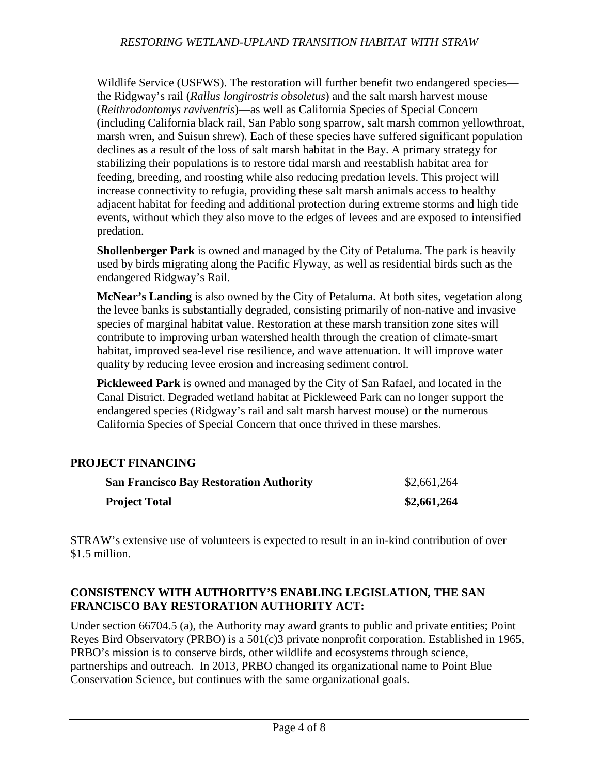Wildlife Service (USFWS). The restoration will further benefit two endangered species the Ridgway's rail (*Rallus longirostris obsoletus*) and the salt marsh harvest mouse (*Reithrodontomys raviventris*)—as well as California Species of Special Concern (including California black rail, San Pablo song sparrow, salt marsh common yellowthroat, marsh wren, and Suisun shrew). Each of these species have suffered significant population declines as a result of the loss of salt marsh habitat in the Bay. A primary strategy for stabilizing their populations is to restore tidal marsh and reestablish habitat area for feeding, breeding, and roosting while also reducing predation levels. This project will increase connectivity to refugia, providing these salt marsh animals access to healthy adjacent habitat for feeding and additional protection during extreme storms and high tide events, without which they also move to the edges of levees and are exposed to intensified predation.

**Shollenberger Park** is owned and managed by the City of Petaluma. The park is heavily used by birds migrating along the Pacific Flyway, as well as residential birds such as the endangered Ridgway's Rail.

**McNear's Landing** is also owned by the City of Petaluma. At both sites, vegetation along the levee banks is substantially degraded, consisting primarily of non-native and invasive species of marginal habitat value. Restoration at these marsh transition zone sites will contribute to improving urban watershed health through the creation of climate-smart habitat, improved sea-level rise resilience, and wave attenuation. It will improve water quality by reducing levee erosion and increasing sediment control.

**Pickleweed Park** is owned and managed by the City of San Rafael, and located in the Canal District. Degraded wetland habitat at Pickleweed Park can no longer support the endangered species (Ridgway's rail and salt marsh harvest mouse) or the numerous California Species of Special Concern that once thrived in these marshes.

## **PROJECT FINANCING**

| <b>San Francisco Bay Restoration Authority</b> | \$2,661,264 |
|------------------------------------------------|-------------|
| <b>Project Total</b>                           | \$2,661,264 |

STRAW's extensive use of volunteers is expected to result in an in-kind contribution of over \$1.5 million.

## **CONSISTENCY WITH AUTHORITY'S ENABLING LEGISLATION, THE SAN FRANCISCO BAY RESTORATION AUTHORITY ACT:**

Under section 66704.5 (a), the Authority may award grants to public and private entities; Point Reyes Bird Observatory (PRBO) is a 501(c)3 private nonprofit corporation. Established in 1965, PRBO's mission is to conserve birds, other wildlife and ecosystems through science, partnerships and outreach. In 2013, PRBO changed its organizational name to Point Blue Conservation Science, but continues with the same organizational goals.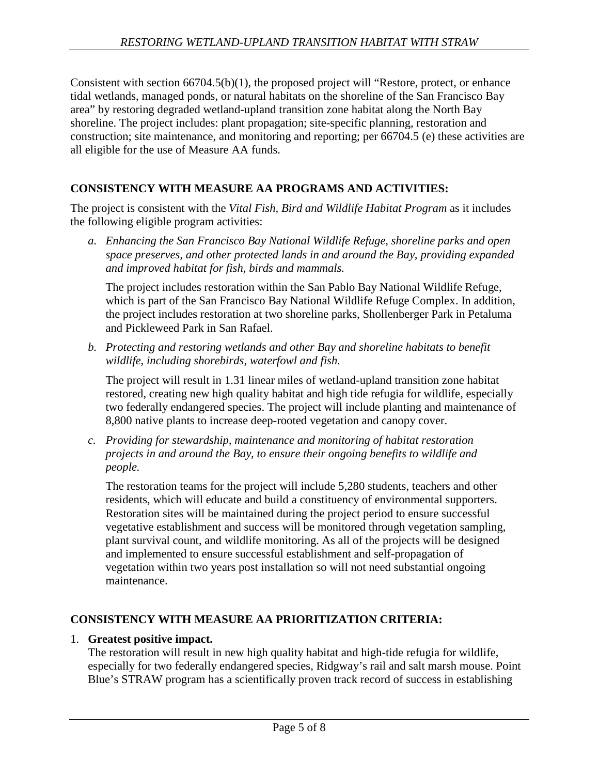Consistent with section 66704.5(b)(1), the proposed project will "Restore, protect, or enhance tidal wetlands, managed ponds, or natural habitats on the shoreline of the San Francisco Bay area" by restoring degraded wetland-upland transition zone habitat along the North Bay shoreline. The project includes: plant propagation; site-specific planning, restoration and construction; site maintenance, and monitoring and reporting; per 66704.5 (e) these activities are all eligible for the use of Measure AA funds.

## **CONSISTENCY WITH MEASURE AA PROGRAMS AND ACTIVITIES:**

The project is consistent with the *Vital Fish, Bird and Wildlife Habitat Program* as it includes the following eligible program activities:

*a. Enhancing the San Francisco Bay National Wildlife Refuge, shoreline parks and open space preserves, and other protected lands in and around the Bay, providing expanded and improved habitat for fish, birds and mammals.*

The project includes restoration within the San Pablo Bay National Wildlife Refuge, which is part of the San Francisco Bay National Wildlife Refuge Complex. In addition, the project includes restoration at two shoreline parks, Shollenberger Park in Petaluma and Pickleweed Park in San Rafael.

*b. Protecting and restoring wetlands and other Bay and shoreline habitats to benefit wildlife, including shorebirds, waterfowl and fish.*

The project will result in 1.31 linear miles of wetland-upland transition zone habitat restored, creating new high quality habitat and high tide refugia for wildlife, especially two federally endangered species. The project will include planting and maintenance of 8,800 native plants to increase deep-rooted vegetation and canopy cover.

*c. Providing for stewardship, maintenance and monitoring of habitat restoration projects in and around the Bay, to ensure their ongoing benefits to wildlife and people.*

The restoration teams for the project will include 5,280 students, teachers and other residents, which will educate and build a constituency of environmental supporters. Restoration sites will be maintained during the project period to ensure successful vegetative establishment and success will be monitored through vegetation sampling, plant survival count, and wildlife monitoring. As all of the projects will be designed and implemented to ensure successful establishment and self-propagation of vegetation within two years post installation so will not need substantial ongoing maintenance.

## **CONSISTENCY WITH MEASURE AA PRIORITIZATION CRITERIA:**

#### 1. **Greatest positive impact.**

The restoration will result in new high quality habitat and high-tide refugia for wildlife, especially for two federally endangered species, Ridgway's rail and salt marsh mouse. Point Blue's STRAW program has a scientifically proven track record of success in establishing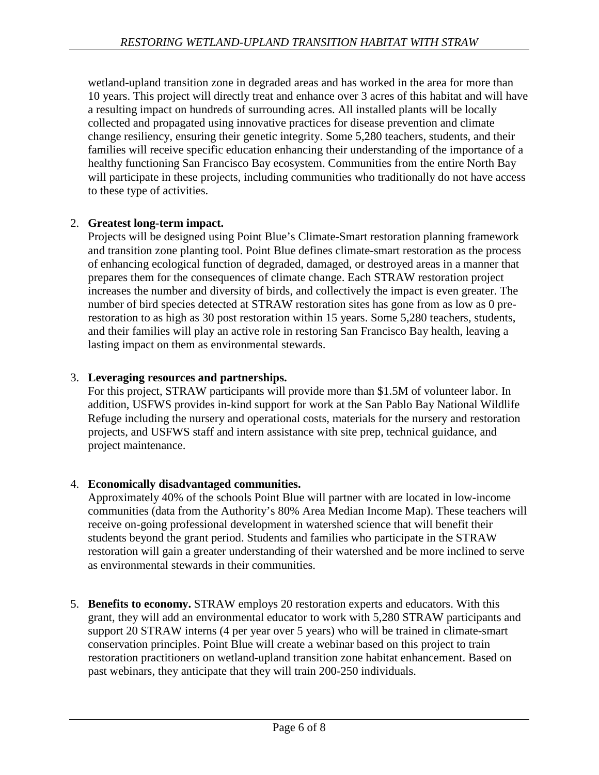wetland-upland transition zone in degraded areas and has worked in the area for more than 10 years. This project will directly treat and enhance over 3 acres of this habitat and will have a resulting impact on hundreds of surrounding acres. All installed plants will be locally collected and propagated using innovative practices for disease prevention and climate change resiliency, ensuring their genetic integrity. Some 5,280 teachers, students, and their families will receive specific education enhancing their understanding of the importance of a healthy functioning San Francisco Bay ecosystem. Communities from the entire North Bay will participate in these projects, including communities who traditionally do not have access to these type of activities.

### 2. **Greatest long-term impact.**

Projects will be designed using Point Blue's Climate-Smart restoration planning framework and transition zone planting tool. Point Blue defines climate-smart restoration as the process of enhancing ecological function of degraded, damaged, or destroyed areas in a manner that prepares them for the consequences of climate change. Each STRAW restoration project increases the number and diversity of birds, and collectively the impact is even greater. The number of bird species detected at STRAW restoration sites has gone from as low as 0 prerestoration to as high as 30 post restoration within 15 years. Some 5,280 teachers, students, and their families will play an active role in restoring San Francisco Bay health, leaving a lasting impact on them as environmental stewards.

### 3. **Leveraging resources and partnerships.**

For this project, STRAW participants will provide more than \$1.5M of volunteer labor. In addition, USFWS provides in-kind support for work at the San Pablo Bay National Wildlife Refuge including the nursery and operational costs, materials for the nursery and restoration projects, and USFWS staff and intern assistance with site prep, technical guidance, and project maintenance.

#### 4. **Economically disadvantaged communities.**

Approximately 40% of the schools Point Blue will partner with are located in low-income communities (data from the Authority's 80% Area Median Income Map). These teachers will receive on-going professional development in watershed science that will benefit their students beyond the grant period. Students and families who participate in the STRAW restoration will gain a greater understanding of their watershed and be more inclined to serve as environmental stewards in their communities.

5. **Benefits to economy.** STRAW employs 20 restoration experts and educators. With this grant, they will add an environmental educator to work with 5,280 STRAW participants and support 20 STRAW interns (4 per year over 5 years) who will be trained in climate-smart conservation principles. Point Blue will create a webinar based on this project to train restoration practitioners on wetland-upland transition zone habitat enhancement. Based on past webinars, they anticipate that they will train 200-250 individuals.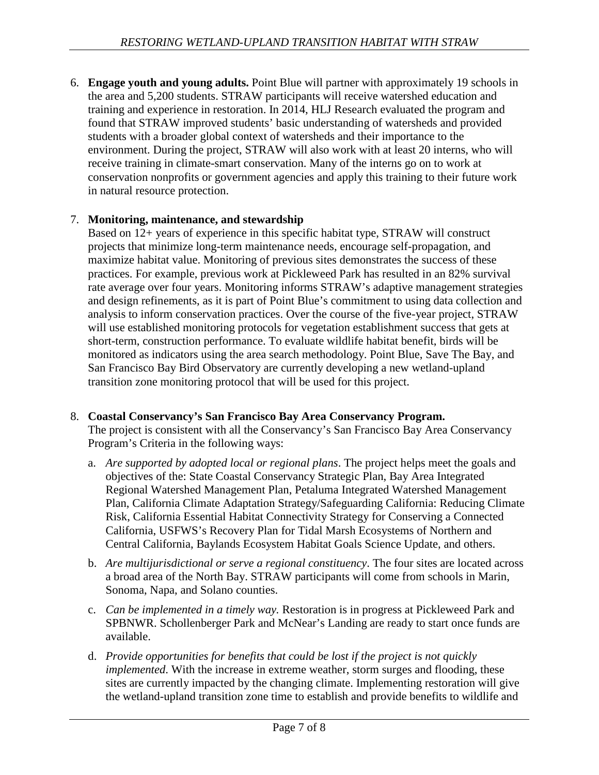6. **Engage youth and young adults.** Point Blue will partner with approximately 19 schools in the area and 5,200 students. STRAW participants will receive watershed education and training and experience in restoration. In 2014, HLJ Research evaluated the program and found that STRAW improved students' basic understanding of watersheds and provided students with a broader global context of watersheds and their importance to the environment. During the project, STRAW will also work with at least 20 interns, who will receive training in climate-smart conservation. Many of the interns go on to work at conservation nonprofits or government agencies and apply this training to their future work in natural resource protection.

### 7. **Monitoring, maintenance, and stewardship**

Based on 12+ years of experience in this specific habitat type, STRAW will construct projects that minimize long-term maintenance needs, encourage self-propagation, and maximize habitat value. Monitoring of previous sites demonstrates the success of these practices. For example, previous work at Pickleweed Park has resulted in an 82% survival rate average over four years. Monitoring informs STRAW's adaptive management strategies and design refinements, as it is part of Point Blue's commitment to using data collection and analysis to inform conservation practices. Over the course of the five-year project, STRAW will use established monitoring protocols for vegetation establishment success that gets at short-term, construction performance. To evaluate wildlife habitat benefit, birds will be monitored as indicators using the area search methodology. Point Blue, Save The Bay, and San Francisco Bay Bird Observatory are currently developing a new wetland-upland transition zone monitoring protocol that will be used for this project.

#### 8. **Coastal Conservancy's San Francisco Bay Area Conservancy Program.**

The project is consistent with all the Conservancy's San Francisco Bay Area Conservancy Program's Criteria in the following ways:

- a. *Are supported by adopted local or regional plans*. The project helps meet the goals and objectives of the: State Coastal Conservancy Strategic Plan, Bay Area Integrated Regional Watershed Management Plan, Petaluma Integrated Watershed Management Plan, California Climate Adaptation Strategy/Safeguarding California: Reducing Climate Risk, California Essential Habitat Connectivity Strategy for Conserving a Connected California, USFWS's Recovery Plan for Tidal Marsh Ecosystems of Northern and Central California, Baylands Ecosystem Habitat Goals Science Update, and others.
- b. *Are multijurisdictional or serve a regional constituency*. The four sites are located across a broad area of the North Bay. STRAW participants will come from schools in Marin, Sonoma, Napa, and Solano counties.
- c. *Can be implemented in a timely way.* Restoration is in progress at Pickleweed Park and SPBNWR. Schollenberger Park and McNear's Landing are ready to start once funds are available.
- d. *Provide opportunities for benefits that could be lost if the project is not quickly implemented*. With the increase in extreme weather, storm surges and flooding, these sites are currently impacted by the changing climate. Implementing restoration will give the wetland-upland transition zone time to establish and provide benefits to wildlife and